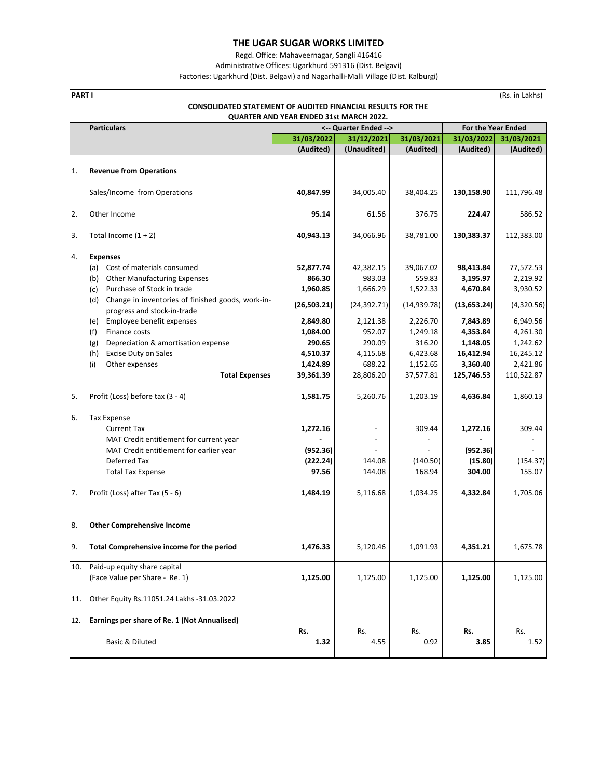Regd. Office: Mahaveernagar, Sangli 416416

Administrative Offices: Ugarkhurd 591316 (Dist. Belgavi)

Factories: Ugarkhurd (Dist. Belgavi) and Nagarhalli‐Malli Village (Dist. Kalburgi)

| <b>CONSOLIDATED STATEMENT OF AUDITED FINANCIAL RESULTS FOR THE</b><br>QUARTER AND YEAR ENDED 31st MARCH 2022. |                                                                                         |                       |                          |              |                    |            |  |
|---------------------------------------------------------------------------------------------------------------|-----------------------------------------------------------------------------------------|-----------------------|--------------------------|--------------|--------------------|------------|--|
|                                                                                                               | <b>Particulars</b>                                                                      | <-- Quarter Ended --> |                          |              | For the Year Ended |            |  |
|                                                                                                               |                                                                                         | 31/03/2022            | 31/12/2021               | 31/03/2021   | 31/03/2022         | 31/03/2021 |  |
|                                                                                                               |                                                                                         | (Audited)             | (Unaudited)              | (Audited)    | (Audited)          | (Audited)  |  |
| 1.                                                                                                            | <b>Revenue from Operations</b>                                                          |                       |                          |              |                    |            |  |
|                                                                                                               | Sales/Income from Operations                                                            | 40,847.99             | 34,005.40                | 38,404.25    | 130,158.90         | 111,796.48 |  |
| 2.                                                                                                            | Other Income                                                                            | 95.14                 | 61.56                    | 376.75       | 224.47             | 586.52     |  |
| 3.                                                                                                            | Total Income $(1 + 2)$                                                                  | 40,943.13             | 34,066.96                | 38,781.00    | 130,383.37         | 112,383.00 |  |
|                                                                                                               |                                                                                         |                       |                          |              |                    |            |  |
| 4.                                                                                                            | <b>Expenses</b><br>(a)<br>Cost of materials consumed                                    | 52,877.74             | 42,382.15                | 39,067.02    | 98,413.84          | 77,572.53  |  |
|                                                                                                               | <b>Other Manufacturing Expenses</b><br>(b)                                              | 866.30                | 983.03                   | 559.83       | 3,195.97           | 2,219.92   |  |
|                                                                                                               | Purchase of Stock in trade<br>(c)                                                       | 1,960.85              | 1,666.29                 | 1,522.33     | 4,670.84           | 3,930.52   |  |
|                                                                                                               | (d)<br>Change in inventories of finished goods, work-in-<br>progress and stock-in-trade | (26, 503.21)          | (24, 392.71)             | (14, 939.78) | (13, 653.24)       | (4,320.56) |  |
|                                                                                                               | Employee benefit expenses<br>(e)                                                        | 2,849.80              | 2,121.38                 | 2,226.70     | 7,843.89           | 6,949.56   |  |
|                                                                                                               | Finance costs<br>(f)                                                                    | 1,084.00              | 952.07                   | 1,249.18     | 4,353.84           | 4,261.30   |  |
|                                                                                                               | (g)<br>Depreciation & amortisation expense                                              | 290.65                | 290.09                   | 316.20       | 1,148.05           | 1,242.62   |  |
|                                                                                                               | (h)<br><b>Excise Duty on Sales</b>                                                      | 4,510.37              | 4,115.68                 | 6,423.68     | 16,412.94          | 16,245.12  |  |
|                                                                                                               | Other expenses<br>(i)                                                                   | 1,424.89              | 688.22                   | 1,152.65     | 3,360.40           | 2,421.86   |  |
|                                                                                                               | <b>Total Expenses</b>                                                                   | 39,361.39             | 28,806.20                | 37,577.81    | 125,746.53         | 110,522.87 |  |
| 5.                                                                                                            | Profit (Loss) before tax (3 - 4)                                                        | 1,581.75              | 5,260.76                 | 1,203.19     | 4,636.84           | 1,860.13   |  |
| 6.                                                                                                            | <b>Tax Expense</b>                                                                      |                       |                          |              |                    |            |  |
|                                                                                                               | <b>Current Tax</b>                                                                      | 1,272.16              | $\overline{\phantom{a}}$ | 309.44       | 1,272.16           | 309.44     |  |
|                                                                                                               | MAT Credit entitlement for current year                                                 |                       |                          |              |                    |            |  |
|                                                                                                               | MAT Credit entitlement for earlier year                                                 | (952.36)              |                          |              | (952.36)           |            |  |
|                                                                                                               | Deferred Tax                                                                            | (222.24)              | 144.08                   | (140.50)     | (15.80)            | (154.37)   |  |
|                                                                                                               | <b>Total Tax Expense</b>                                                                | 97.56                 | 144.08                   | 168.94       | 304.00             | 155.07     |  |
|                                                                                                               |                                                                                         |                       |                          |              |                    |            |  |
| 7.                                                                                                            | Profit (Loss) after Tax (5 - 6)                                                         | 1,484.19              | 5,116.68                 | 1,034.25     | 4,332.84           | 1,705.06   |  |
|                                                                                                               |                                                                                         |                       |                          |              |                    |            |  |
| 8.                                                                                                            | <b>Other Comprehensive Income</b>                                                       |                       |                          |              |                    |            |  |
| 9.                                                                                                            | Total Comprehensive income for the period                                               | 1,476.33              | 5,120.46                 | 1,091.93     | 4,351.21           | 1,675.78   |  |
| 10.                                                                                                           | Paid-up equity share capital                                                            |                       |                          |              |                    |            |  |
|                                                                                                               | (Face Value per Share - Re. 1)                                                          | 1,125.00              | 1,125.00                 | 1,125.00     | 1,125.00           | 1,125.00   |  |
| 11.                                                                                                           | Other Equity Rs.11051.24 Lakhs -31.03.2022                                              |                       |                          |              |                    |            |  |
| 12.                                                                                                           | Earnings per share of Re. 1 (Not Annualised)                                            |                       |                          |              |                    |            |  |

Basic & Diluted  **1.32** 4.55 0.92  **3.85** 1.52

**Rs.** Rs. Rs. Rs. Rs. Rs.

**PART I** (Rs. in Lakhs)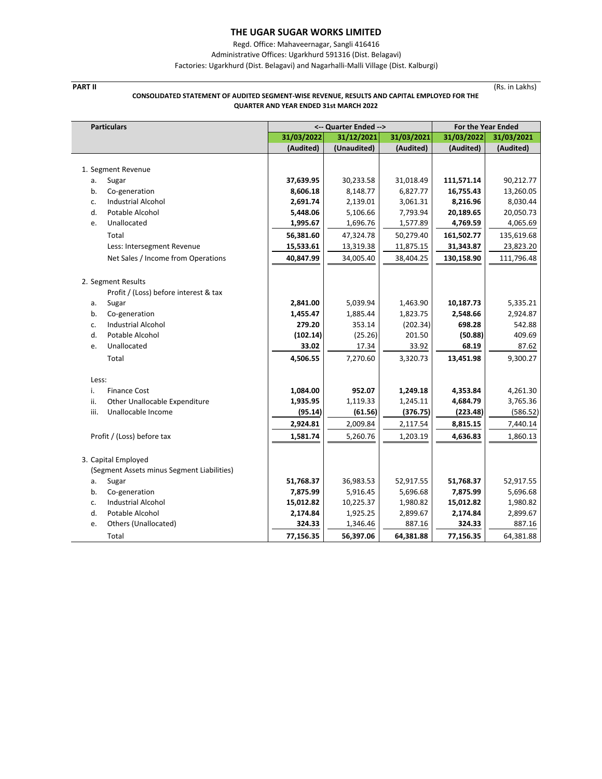Regd. Office: Mahaveernagar, Sangli 416416

Administrative Offices: Ugarkhurd 591316 (Dist. Belagavi)

Factories: Ugarkhurd (Dist. Belagavi) and Nagarhalli‐Malli Village (Dist. Kalburgi)

## **PART II** (Rs. in Lakhs) **CONSOLIDATED STATEMENT OF AUDITED SEGMENT‐WISE REVENUE, RESULTS AND CAPITAL EMPLOYED FOR THE QUARTER AND YEAR ENDED 31st MARCH 2022**

| <b>Particulars</b>                         | <-- Quarter Ended --> |             |            | <b>For the Year Ended</b> |            |
|--------------------------------------------|-----------------------|-------------|------------|---------------------------|------------|
|                                            | 31/03/2022            | 31/12/2021  | 31/03/2021 | 31/03/2022                | 31/03/2021 |
|                                            | (Audited)             | (Unaudited) | (Audited)  | (Audited)                 | (Audited)  |
|                                            |                       |             |            |                           |            |
| 1. Segment Revenue                         |                       |             |            |                           |            |
| а.<br>Sugar                                | 37,639.95             | 30,233.58   | 31,018.49  | 111,571.14                | 90,212.77  |
| b.<br>Co-generation                        | 8,606.18              | 8,148.77    | 6,827.77   | 16,755.43                 | 13,260.05  |
| <b>Industrial Alcohol</b><br>c.            | 2,691.74              | 2,139.01    | 3,061.31   | 8,216.96                  | 8,030.44   |
| d.<br>Potable Alcohol                      | 5,448.06              | 5,106.66    | 7,793.94   | 20,189.65                 | 20,050.73  |
| Unallocated<br>e.                          | 1,995.67              | 1,696.76    | 1,577.89   | 4,769.59                  | 4,065.69   |
| Total                                      | 56,381.60             | 47,324.78   | 50,279.40  | 161,502.77                | 135,619.68 |
| Less: Intersegment Revenue                 | 15,533.61             | 13,319.38   | 11,875.15  | 31,343.87                 | 23,823.20  |
| Net Sales / Income from Operations         | 40,847.99             | 34,005.40   | 38,404.25  | 130,158.90                | 111,796.48 |
|                                            |                       |             |            |                           |            |
| 2. Segment Results                         |                       |             |            |                           |            |
| Profit / (Loss) before interest & tax      |                       |             |            |                           |            |
| Sugar<br>a.                                | 2,841.00              | 5,039.94    | 1,463.90   | 10,187.73                 | 5,335.21   |
| Co-generation<br>b.                        | 1,455.47              | 1,885.44    | 1,823.75   | 2,548.66                  | 2,924.87   |
| <b>Industrial Alcohol</b><br>c.            | 279.20                | 353.14      | (202.34)   | 698.28                    | 542.88     |
| d.<br>Potable Alcohol                      | (102.14)              | (25.26)     | 201.50     | (50.88)                   | 409.69     |
| Unallocated<br>e.                          | 33.02                 | 17.34       | 33.92      | 68.19                     | 87.62      |
| Total                                      | 4,506.55              | 7,270.60    | 3,320.73   | 13,451.98                 | 9,300.27   |
|                                            |                       |             |            |                           |            |
| Less:                                      |                       |             |            |                           |            |
| i.<br><b>Finance Cost</b>                  | 1,084.00              | 952.07      | 1,249.18   | 4,353.84                  | 4,261.30   |
| ii.<br>Other Unallocable Expenditure       | 1,935.95              | 1,119.33    | 1,245.11   | 4,684.79                  | 3,765.36   |
| iii.<br>Unallocable Income                 | (95.14)               | (61.56)     | (376.75)   | (223.48)                  | (586.52)   |
|                                            | 2,924.81              | 2,009.84    | 2,117.54   | 8,815.15                  | 7,440.14   |
| Profit / (Loss) before tax                 | 1,581.74              | 5,260.76    | 1,203.19   | 4,636.83                  | 1,860.13   |
|                                            |                       |             |            |                           |            |
| 3. Capital Employed                        |                       |             |            |                           |            |
| (Segment Assets minus Segment Liabilities) |                       |             |            |                           |            |
| Sugar<br>a.                                | 51,768.37             | 36,983.53   | 52,917.55  | 51,768.37                 | 52,917.55  |
| Co-generation<br>b.                        | 7,875.99              | 5,916.45    | 5,696.68   | 7,875.99                  | 5,696.68   |
| <b>Industrial Alcohol</b><br>c.            | 15,012.82             | 10,225.37   | 1,980.82   | 15,012.82                 | 1,980.82   |
| d.<br>Potable Alcohol                      | 2,174.84              | 1,925.25    | 2,899.67   | 2,174.84                  | 2,899.67   |
| Others (Unallocated)<br>e.                 | 324.33                | 1,346.46    | 887.16     | 324.33                    | 887.16     |
| Total                                      | 77,156.35             | 56,397.06   | 64,381.88  | 77,156.35                 | 64,381.88  |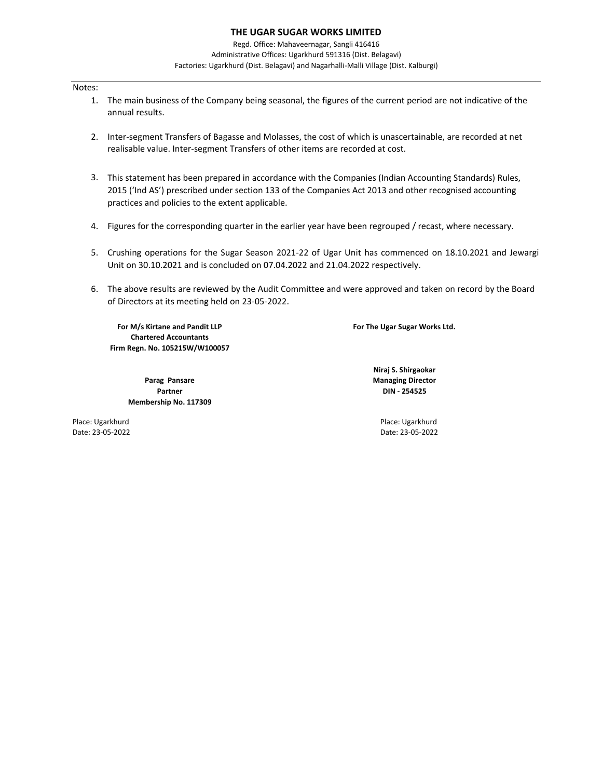Regd. Office: Mahaveernagar, Sangli 416416 Administrative Offices: Ugarkhurd 591316 (Dist. Belagavi) Factories: Ugarkhurd (Dist. Belagavi) and Nagarhalli‐Malli Village (Dist. Kalburgi)

## Notes:

- 1. The main business of the Company being seasonal, the figures of the current period are not indicative of the annual results.
- 2. Inter‐segment Transfers of Bagasse and Molasses, the cost of which is unascertainable, are recorded at net realisable value. Inter‐segment Transfers of other items are recorded at cost.
- 3. This statement has been prepared in accordance with the Companies (Indian Accounting Standards) Rules, 2015 ('Ind AS') prescribed under section 133 of the Companies Act 2013 and other recognised accounting practices and policies to the extent applicable.
- 4. Figures for the corresponding quarter in the earlier year have been regrouped / recast, where necessary.
- 5. Crushing operations for the Sugar Season 2021‐22 of Ugar Unit has commenced on 18.10.2021 and Jewargi Unit on 30.10.2021 and is concluded on 07.04.2022 and 21.04.2022 respectively.
- 6. The above results are reviewed by the Audit Committee and were approved and taken on record by the Board of Directors at its meeting held on 23‐05‐2022.

**Firm Regn. No. 105215W/W100057 For M/s Kirtane and Pandit LLP Chartered Accountants**

> **Membership No. 117309 Parag Pansare Partner**

**For The Ugar Sugar Works Ltd.**

**Managing Director DIN ‐ 254525 Niraj S. Shirgaokar**

Place: Ugarkhurd Place: Ugarkhurd Date: 23‐05‐2022 Date: 23‐05‐2022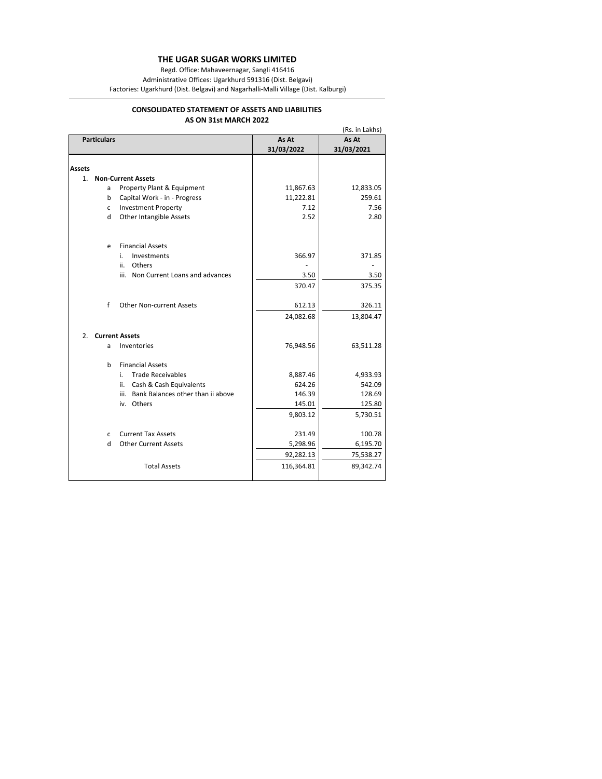Regd. Office: Mahaveernagar, Sangli 416416

Administrative Offices: Ugarkhurd 591316 (Dist. Belgavi)

Factories: Ugarkhurd (Dist. Belgavi) and Nagarhalli‐Malli Village (Dist. Kalburgi)

## **AS ON 31st MARCH 2022 CONSOLIDATED STATEMENT OF ASSETS AND LIABILITIES**

|               |                    |                                        |            | (Rs. in Lakhs) |
|---------------|--------------------|----------------------------------------|------------|----------------|
|               | <b>Particulars</b> |                                        | As At      | As At          |
|               |                    |                                        | 31/03/2022 | 31/03/2021     |
|               |                    |                                        |            |                |
| <b>Assets</b> |                    |                                        |            |                |
| 1.            |                    | <b>Non-Current Assets</b>              |            |                |
|               | a                  | Property Plant & Equipment             | 11,867.63  | 12,833.05      |
|               | b                  | Capital Work - in - Progress           | 11,222.81  | 259.61         |
|               | c                  | <b>Investment Property</b>             | 7.12       | 7.56           |
|               | d                  | Other Intangible Assets                | 2.52       | 2.80           |
|               | e                  | <b>Financial Assets</b>                |            |                |
|               |                    | i.<br>Investments                      | 366.97     | 371.85         |
|               |                    | ii.<br>Others                          |            |                |
|               |                    | iii. Non Current Loans and advances    | 3.50       | 3.50           |
|               |                    |                                        | 370.47     | 375.35         |
|               | f                  | <b>Other Non-current Assets</b>        | 612.13     | 326.11         |
|               |                    |                                        | 24,082.68  | 13,804.47      |
| 2.            |                    | <b>Current Assets</b>                  |            |                |
|               | a                  | Inventories                            | 76,948.56  | 63,511.28      |
|               | <sub>b</sub>       | <b>Financial Assets</b>                |            |                |
|               |                    | <b>Trade Receivables</b><br>i.         | 8,887.46   | 4,933.93       |
|               |                    | Cash & Cash Equivalents<br>ii.         | 624.26     | 542.09         |
|               |                    | iii. Bank Balances other than ii above | 146.39     | 128.69         |
|               |                    | iv. Others                             | 145.01     | 125.80         |
|               |                    |                                        | 9,803.12   | 5,730.51       |
|               | C.                 | <b>Current Tax Assets</b>              | 231.49     | 100.78         |
|               | H                  | <b>Other Current Assets</b>            | 5,298.96   | 6,195.70       |
|               |                    |                                        | 92,282.13  | 75,538.27      |
|               |                    | <b>Total Assets</b>                    | 116,364.81 | 89,342.74      |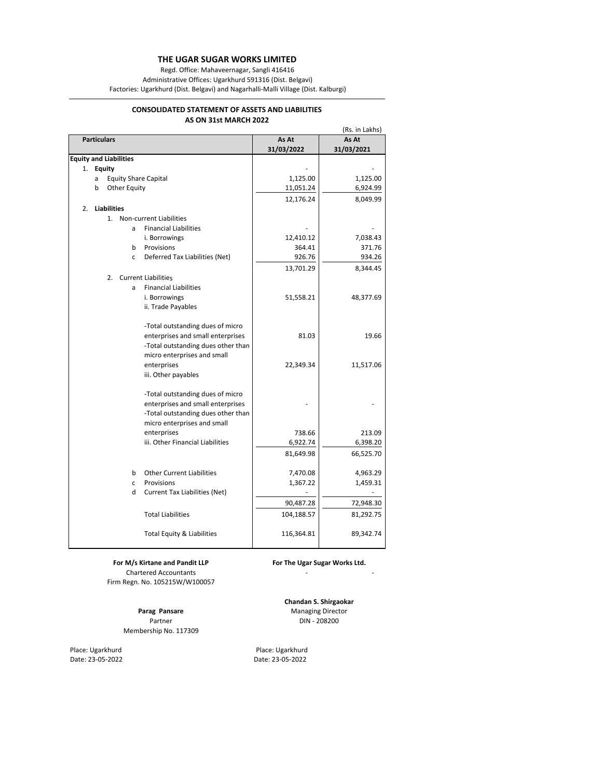Regd. Office: Mahaveernagar, Sangli 416416

Administrative Offices: Ugarkhurd 591316 (Dist. Belgavi)

Factories: Ugarkhurd (Dist. Belgavi) and Nagarhalli‐Malli Village (Dist. Kalburgi)

## **AS ON 31st MARCH 2022 CONSOLIDATED STATEMENT OF ASSETS AND LIABILITIES**

| (Rs. in Lakhs)                                 |            |            |  |  |  |
|------------------------------------------------|------------|------------|--|--|--|
| <b>Particulars</b>                             | As At      | As At      |  |  |  |
|                                                | 31/03/2022 | 31/03/2021 |  |  |  |
| <b>Equity and Liabilities</b>                  |            |            |  |  |  |
| 1.<br><b>Equity</b>                            |            |            |  |  |  |
| <b>Equity Share Capital</b><br>a               | 1,125.00   | 1,125.00   |  |  |  |
| <b>Other Equity</b><br>b                       | 11,051.24  | 6,924.99   |  |  |  |
|                                                | 12,176.24  | 8,049.99   |  |  |  |
| <b>Liabilities</b><br>2.                       |            |            |  |  |  |
| 1.<br>Non-current Liabilities                  |            |            |  |  |  |
| <b>Financial Liabilities</b><br>a              |            |            |  |  |  |
| i. Borrowings                                  | 12,410.12  | 7,038.43   |  |  |  |
| b<br>Provisions                                | 364.41     | 371.76     |  |  |  |
| Deferred Tax Liabilities (Net)<br>$\mathsf{C}$ | 926.76     | 934.26     |  |  |  |
|                                                | 13,701.29  | 8,344.45   |  |  |  |
| 2.<br><b>Current Liabilities</b>               |            |            |  |  |  |
| <b>Financial Liabilities</b><br>a              |            |            |  |  |  |
| i. Borrowings                                  | 51,558.21  | 48,377.69  |  |  |  |
| ii. Trade Payables                             |            |            |  |  |  |
| -Total outstanding dues of micro               |            |            |  |  |  |
| enterprises and small enterprises              | 81.03      | 19.66      |  |  |  |
| -Total outstanding dues other than             |            |            |  |  |  |
| micro enterprises and small                    |            |            |  |  |  |
| enterprises                                    | 22,349.34  | 11,517.06  |  |  |  |
| iii. Other payables                            |            |            |  |  |  |
| -Total outstanding dues of micro               |            |            |  |  |  |
| enterprises and small enterprises              |            |            |  |  |  |
| -Total outstanding dues other than             |            |            |  |  |  |
| micro enterprises and small                    |            |            |  |  |  |
| enterprises                                    | 738.66     | 213.09     |  |  |  |
| iii. Other Financial Liabilities               | 6,922.74   | 6,398.20   |  |  |  |
|                                                | 81,649.98  | 66,525.70  |  |  |  |
| <b>Other Current Liabilities</b><br>b          | 7,470.08   | 4,963.29   |  |  |  |
| Provisions<br>c                                | 1,367.22   | 1,459.31   |  |  |  |
| d<br>Current Tax Liabilities (Net)             |            |            |  |  |  |
|                                                | 90,487.28  | 72,948.30  |  |  |  |
| <b>Total Liabilities</b>                       | 104,188.57 | 81,292.75  |  |  |  |
| Total Equity & Liabilities                     | 116,364.81 | 89,342.74  |  |  |  |
|                                                |            |            |  |  |  |

Chartered Accountants Firm Regn. No. 105215W/W100057

Membership No. 117309

Place: Ugarkhurd Place: Ugarkhurd

**For M/s Kirtane and Pandit LLP For The Ugar Sugar Works Ltd.**

en en en en en en en en en en en en

Partner DIN - 208200 **Chandan S. Shirgaokar Parag Pansare** *Paraging Director Managing Director* 

Date: 23‐05‐2022 Date: 23‐05‐2022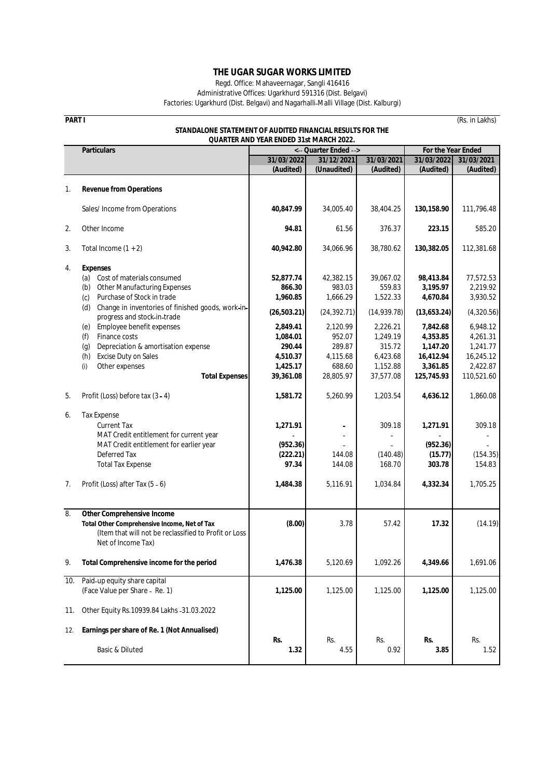Regd. Office: Mahaveernagar, Sangli 416416

Administrative Offices: Ugarkhurd 591316 (Dist. Belgavi) Factories: Ugarkhurd (Dist. Belgavi) and Nagarhalli Malli Village (Dist. Kalburgi)

**PART I** (Rs. in Lakhs)

|     | STANDALONE STATEMENT OF AUDITED FINANCIAL RESULTS FOR THE<br><b>QUARTER AND YEAR ENDED 31st MARCH 2022.</b>                                                                                                                                                                                                                                                                                                                   |                                                                                                                        |                                                                                                                    |                                                                                                                        |                                                                                                                             |                                                                                                                            |  |
|-----|-------------------------------------------------------------------------------------------------------------------------------------------------------------------------------------------------------------------------------------------------------------------------------------------------------------------------------------------------------------------------------------------------------------------------------|------------------------------------------------------------------------------------------------------------------------|--------------------------------------------------------------------------------------------------------------------|------------------------------------------------------------------------------------------------------------------------|-----------------------------------------------------------------------------------------------------------------------------|----------------------------------------------------------------------------------------------------------------------------|--|
|     | <b>Particulars</b>                                                                                                                                                                                                                                                                                                                                                                                                            | <-- Quarter Ended -->                                                                                                  |                                                                                                                    |                                                                                                                        | For the Year Ended                                                                                                          |                                                                                                                            |  |
|     |                                                                                                                                                                                                                                                                                                                                                                                                                               | 31/03/2022                                                                                                             | 31/12/2021                                                                                                         | 31/03/2021                                                                                                             | 31/03/2022                                                                                                                  | 31/03/2021                                                                                                                 |  |
|     |                                                                                                                                                                                                                                                                                                                                                                                                                               | (Audited)                                                                                                              | (Unaudited)                                                                                                        | (Audited)                                                                                                              | (Audited)                                                                                                                   | (Audited)                                                                                                                  |  |
| 1.  | <b>Revenue from Operations</b>                                                                                                                                                                                                                                                                                                                                                                                                |                                                                                                                        |                                                                                                                    |                                                                                                                        |                                                                                                                             |                                                                                                                            |  |
|     | Sales/Income from Operations                                                                                                                                                                                                                                                                                                                                                                                                  | 40,847.99                                                                                                              | 34,005.40                                                                                                          | 38,404.25                                                                                                              | 130,158.90                                                                                                                  | 111,796.48                                                                                                                 |  |
| 2.  | Other Income                                                                                                                                                                                                                                                                                                                                                                                                                  | 94.81                                                                                                                  | 61.56                                                                                                              | 376.37                                                                                                                 | 223.15                                                                                                                      | 585.20                                                                                                                     |  |
| 3.  | Total Income $(1 + 2)$                                                                                                                                                                                                                                                                                                                                                                                                        | 40,942.80                                                                                                              | 34,066.96                                                                                                          | 38,780.62                                                                                                              | 130,382.05                                                                                                                  | 112,381.68                                                                                                                 |  |
| 4.  | <b>Expenses</b><br>Cost of materials consumed<br>(a)<br><b>Other Manufacturing Expenses</b><br>(b)<br>Purchase of Stock in trade<br>(c)<br>Change in inventories of finished goods, work-in-<br>(d)<br>progress and stock-in-trade<br>Employee benefit expenses<br>(e)<br>Finance costs<br>(f)<br>Depreciation & amortisation expense<br>(g)<br>Excise Duty on Sales<br>(h)<br>Other expenses<br>(i)<br><b>Total Expenses</b> | 52,877.74<br>866.30<br>1,960.85<br>(26, 503.21)<br>2,849.41<br>1,084.01<br>290.44<br>4,510.37<br>1,425.17<br>39,361.08 | 42,382.15<br>983.03<br>1,666.29<br>(24, 392.71)<br>2,120.99<br>952.07<br>289.87<br>4,115.68<br>688.60<br>28,805.97 | 39,067.02<br>559.83<br>1,522.33<br>(14, 939.78)<br>2.226.21<br>1,249.19<br>315.72<br>6,423.68<br>1,152.88<br>37,577.08 | 98,413.84<br>3,195.97<br>4,670.84<br>(13,653.24)<br>7,842.68<br>4,353.85<br>1,147.20<br>16,412.94<br>3,361.85<br>125,745.93 | 77,572.53<br>2,219.92<br>3,930.52<br>(4,320.56)<br>6,948.12<br>4,261.31<br>1,241.77<br>16,245.12<br>2,422.87<br>110,521.60 |  |
| 5.  | Profit (Loss) before tax (3 - 4)                                                                                                                                                                                                                                                                                                                                                                                              | 1,581.72                                                                                                               | 5,260.99                                                                                                           | 1,203.54                                                                                                               | 4,636.12                                                                                                                    | 1,860.08                                                                                                                   |  |
| 6.  | <b>Tax Expense</b><br><b>Current Tax</b><br>MAT Credit entitlement for current year<br>MAT Credit entitlement for earlier year<br>Deferred Tax<br><b>Total Tax Expense</b>                                                                                                                                                                                                                                                    | 1,271.91<br>(952.36)<br>(222.21)<br>97.34                                                                              | 144.08<br>144.08                                                                                                   | 309.18<br>(140.48)<br>168.70                                                                                           | 1,271.91<br>(952.36)<br>(15.77)<br>303.78                                                                                   | 309.18<br>(154.35)<br>154.83                                                                                               |  |
| 7.  | Profit (Loss) after Tax (5 - 6)                                                                                                                                                                                                                                                                                                                                                                                               | 1,484.38                                                                                                               | 5,116.91                                                                                                           | 1,034.84                                                                                                               | 4,332.34                                                                                                                    | 1,705.25                                                                                                                   |  |
| 8.  | <b>Other Comprehensive Income</b><br>Total Other Comprehensive Income, Net of Tax<br>(Item that will not be reclassified to Profit or Loss<br>Net of Income Tax)                                                                                                                                                                                                                                                              | (8.00)                                                                                                                 | 3.78                                                                                                               | 57.42                                                                                                                  | 17.32                                                                                                                       | (14.19)                                                                                                                    |  |
| 9.  | Total Comprehensive income for the period                                                                                                                                                                                                                                                                                                                                                                                     | 1,476.38                                                                                                               | 5,120.69                                                                                                           | 1,092.26                                                                                                               | 4,349.66                                                                                                                    | 1,691.06                                                                                                                   |  |
| 10. | Paid-up equity share capital<br>(Face Value per Share - Re. 1)                                                                                                                                                                                                                                                                                                                                                                | 1,125.00                                                                                                               | 1,125.00                                                                                                           | 1,125.00                                                                                                               | 1,125.00                                                                                                                    | 1,125.00                                                                                                                   |  |
| 11. | Other Equity Rs. 10939.84 Lakhs - 31.03.2022                                                                                                                                                                                                                                                                                                                                                                                  |                                                                                                                        |                                                                                                                    |                                                                                                                        |                                                                                                                             |                                                                                                                            |  |
| 12. | Earnings per share of Re. 1 (Not Annualised)                                                                                                                                                                                                                                                                                                                                                                                  | Rs.                                                                                                                    | Rs.                                                                                                                | Rs.                                                                                                                    | Rs.                                                                                                                         | Rs.                                                                                                                        |  |
|     | Basic & Diluted                                                                                                                                                                                                                                                                                                                                                                                                               | 1.32                                                                                                                   | 4.55                                                                                                               | 0.92                                                                                                                   | 3.85                                                                                                                        | 1.52                                                                                                                       |  |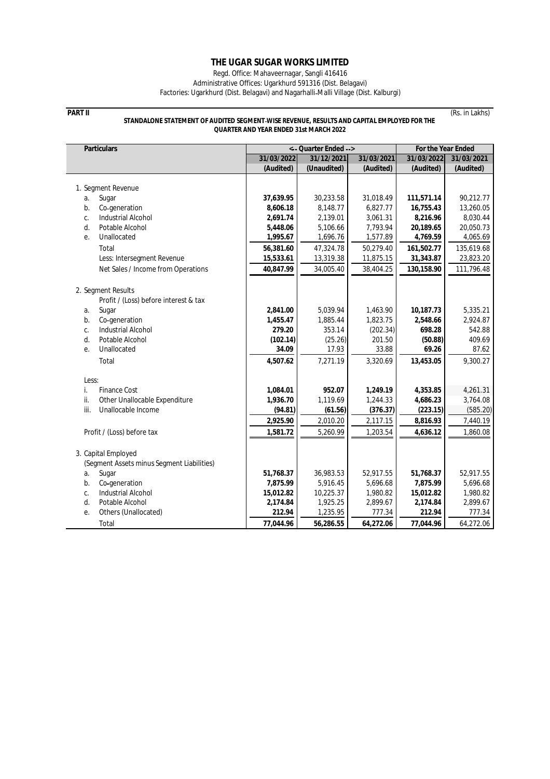Regd. Office: Mahaveernagar, Sangli 416416

Administrative Offices: Ugarkhurd 591316 (Dist. Belagavi) Factories: Ugarkhurd (Dist. Belagavi) and Nagarhalli Malli Village (Dist. Kalburgi)

### **PART II** (Rs. in Lakhs) **STANDALONE STATEMENT OF AUDITED SEGMENT WISE REVENUE, RESULTS AND CAPITAL EMPLOYED FOR THE QUARTER AND YEAR ENDED 31st MARCH 2022**

**Particulars 31/03/2022 31/12/2021 31/03/2021 31/03/2022 31/03/2021 (Audited) (Unaudited) (Audited) (Audited) (Audited)** 1. Segment Revenue a. Sugar **37,639.95** 30,233.58 31,018.49 **111,571.14** 90,212.77 b. Co generation **8,606.18** 8,148.77 6,827.77 **16,755.43** 13,260.05 c. Industrial Alcohol **2,691.74** 2,139.01 3,061.31 **8,216.96** 8,030.44<br>d. Potable Alcohol **2,139.06** 5,106.66 7,793.94 **20,189.65** 20,050.73 d. Potable Alcohol **5,448.06** 5,106.66 7,793.94 **20,189.65** 20,050.73 e. Unallocated **1,995.67** 1,696.76 1,577.89 **4,769.59** 4,065.69 Total **56,381.60** 47,324.78 50,279.40 **161,502.77** 135,619.68 Less: Intersegment Revenue **15,533.61** 13,319.38 11,875.15 31,343.87 23,823.20 Net Sales / Income from Operations **40,847.99** 34,005.40 38,404.25 **130,158.90** 111,796.48 2. Segment Results Profit / (Loss) before interest & tax a. Sugar **2,841.00** 5,039.94 1,463.90 **10,187.73** 5,335.21 b. Co generation **1,455.47** 1,885.44 1,823.75 **2,548.66** 2,924.87 c. Industrial Alcohol **279.20** 353.14 (202.34) **698.28** 542.88 d. Potable Alcohol **(102.14)** (25.26) 201.50 **(50.88)** 409.69 e. Unallocated **34.09** 17.93 33.88 **69.26** 87.62 Total **4,507.62** 7,271.19 3,320.69 **13,453.05** 9,300.27 Less: i. Finance Cost **1,084.01 952.07 1,249.19 4,353.85** 4,261.31 ii. Other Unallocable Expenditure **1,936.70** 1,119.69 1,244.33 **4,686.23** 3,764.08 iii. Unallocable Income **(94.81) (61.56) (376.37) (223.15)** (585.20) **2,925.90** 2,010.20 2,117.15 **8,816.93** 7,440.19 Profit / (Loss) before tax **1,581.72** 1,581.72 1,580.09 1,203.54 4,636.12 3. Capital Employed (Segment Assets minus Segment Liabilities) a. Sugar **51,768.37** 36,983.53 52,917.55 **51,768.37** 52,917.55 b. Co generation **7,875.99** 5,916.45 5,696.68 **7,875.99** 5,696.68 c. Industrial Alcohol **15,012.82** 10,225.37 1,980.82 **15,012.82** 1,980.82 d. Potable Alcohol **2,174.84** 1,925.25 2,899.67 **2,174.84** 2,899.67 e. Others (Unallocated) **212.94** 1,235.95 777.34 **212.94** 777.34 Total **77,044.96 56,286.55 64,272.06 77,044.96** 64,272.06 **< Quarter Ended > For the Year Ended**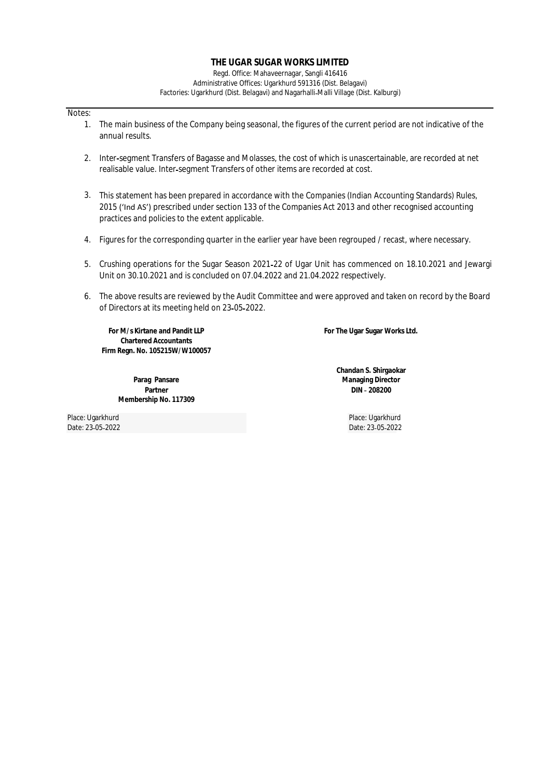Regd. Office: Mahaveernagar, Sangli 416416 Administrative Offices: Ugarkhurd 591316 (Dist. Belagavi) Factories: Ugarkhurd (Dist. Belagavi) and Nagarhalli Malli Village (Dist. Kalburgi)

# Notes:

- 1. The main business of the Company being seasonal, the figures of the current period are not indicative of the annual results.
- 2. Inter segment Transfers of Bagasse and Molasses, the cost of which is unascertainable, are recorded at net realisable value. Inter segment Transfers of other items are recorded at cost.
- 3. This statement has been prepared in accordance with the Companies (Indian Accounting Standards) Rules, 2015 ('Ind AS') prescribed under section 133 of the Companies Act 2013 and other recognised accounting practices and policies to the extent applicable.
- 4. Figures for the corresponding quarter in the earlier year have been regrouped / recast, where necessary.
- 5. Crushing operations for the Sugar Season 2021 22 of Ugar Unit has commenced on 18.10.2021 and Jewargi Unit on 30.10.2021 and is concluded on 07.04.2022 and 21.04.2022 respectively.
- 6. The above results are reviewed by the Audit Committee and were approved and taken on record by the Board of Directors at its meeting held on 23 05 2022.

**Firm Regn. No. 105215W/W100057 For M/s Kirtane and Pandit LLP Chartered Accountants**

> **Membership No. 117309 Parag Pansare Partner**

**For The Ugar Sugar Works Ltd.**

**Managing Director DIN 208200 Chandan S. Shirgaokar**

Place: Ugarkhurd Place: Ugarkhurd

Date: 23 05 2022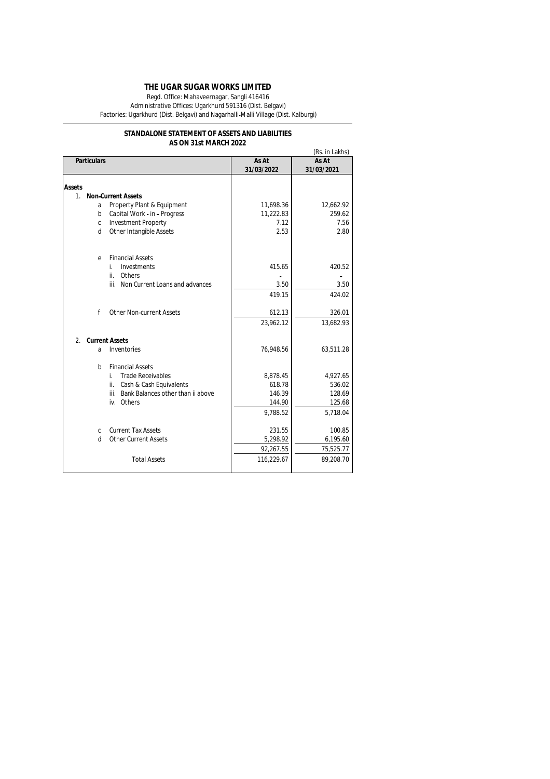Regd. Office: Mahaveernagar, Sangli 416416

Administrative Offices: Ugarkhurd 591316 (Dist. Belgavi) Factories: Ugarkhurd (Dist. Belgavi) and Nagarhalli Malli Village (Dist. Kalburgi)

# **AS ON 31st MARCH 2022 STANDALONE STATEMENT OF ASSETS AND LIABILITIES**

|                  |                    |                                        | (Rs. in Lakhs)      |                     |  |
|------------------|--------------------|----------------------------------------|---------------------|---------------------|--|
|                  | <b>Particulars</b> |                                        | As At<br>31/03/2022 | As At<br>31/03/2021 |  |
| <b>Assets</b>    |                    |                                        |                     |                     |  |
| 1 <sub>1</sub>   |                    | <b>Non-Current Assets</b>              |                     |                     |  |
|                  | a                  | Property Plant & Equipment             | 11,698.36           | 12,662.92           |  |
|                  | b                  | Capital Work - in - Progress           | 11,222.83           | 259.62              |  |
|                  | C                  | <b>Investment Property</b>             | 7.12                | 7.56                |  |
|                  | d                  | Other Intangible Assets                | 2.53                | 2.80                |  |
|                  | e                  | <b>Financial Assets</b>                |                     |                     |  |
|                  |                    | Investments<br>i.                      | 415.65              | 420.52              |  |
|                  |                    | ii.<br>Others                          |                     |                     |  |
|                  |                    | iii. Non Current Loans and advances    | 3.50                | 3.50                |  |
|                  |                    |                                        | 419.15              | 424.02              |  |
|                  | f                  | <b>Other Non-current Assets</b>        | 612.13              | 326.01              |  |
|                  |                    |                                        | 23,962.12           | 13,682.93           |  |
| $\overline{2}$ . |                    | <b>Current Assets</b>                  |                     |                     |  |
|                  | a                  | Inventories                            | 76,948.56           | 63,511.28           |  |
|                  | b                  | <b>Financial Assets</b>                |                     |                     |  |
|                  |                    | <b>Trade Receivables</b><br>i.         | 8,878.45            | 4,927.65            |  |
|                  |                    | Cash & Cash Equivalents<br>ii.         | 618.78              | 536.02              |  |
|                  |                    | iii. Bank Balances other than ii above | 146.39              | 128.69              |  |
|                  |                    | iv. Others                             | 144.90              | 125.68              |  |
|                  |                    |                                        | 9,788.52            | 5,718.04            |  |
|                  | C                  | <b>Current Tax Assets</b>              | 231.55              | 100.85              |  |
|                  | d                  | <b>Other Current Assets</b>            | 5.298.92            | 6,195.60            |  |
|                  |                    |                                        | 92,267.55           | 75,525.77           |  |
|                  |                    | <b>Total Assets</b>                    | 116,229.67          | 89,208.70           |  |